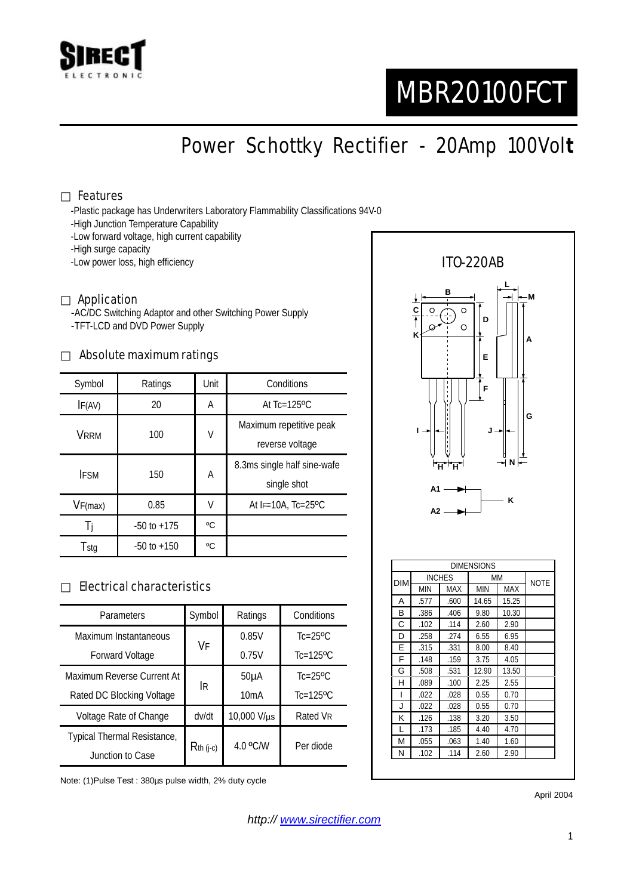

# MBR20100FCT

Power Schottky Rectifier - 20Amp 100Vol**t**

#### Features

-Plastic package has Underwriters Laboratory Flammability Classifications 94V-0

- -High Junction Temperature Capability
- -Low forward voltage, high current capability
- -High surge capacity
- -Low power loss, high efficiency

#### Application

-AC/DC Switching Adaptor and other Switching Power Supply -TFT-LCD and DVD Power Supply

#### Absolute maximum ratings

| Symbol      | Ratings         | Unit | Conditions                                 |  |
|-------------|-----------------|------|--------------------------------------------|--|
| IF(AV)      | 20              | Α    | At $Tc=125$ <sup>o</sup> $C$               |  |
| VRRM        | 100             | V    | Maximum repetitive peak<br>reverse voltage |  |
| <b>IFSM</b> | 150             | А    | 8.3ms single half sine-wafe<br>single shot |  |
| VF(max)     | 0.85            | V    | At $F=10A$ . Tc=25 <sup>o</sup> C          |  |
| -l i        | $-50$ to $+175$ | °C   |                                            |  |
| Tstg        | $-50$ to $+150$ | °C   |                                            |  |

### Electrical characteristics

| Parameters                  | Symbol      | Ratings           | Conditions                |  |
|-----------------------------|-------------|-------------------|---------------------------|--|
| Maximum Instantaneous       | VF          | 0.85V             | $Tc=25$ <sup>o</sup> $C$  |  |
| <b>Forward Voltage</b>      |             | 0.75V             | $Tc=125$ <sup>o</sup> $C$ |  |
| Maximum Reverse Current At  | <b>IR</b>   | 50 <sub>µ</sub> A | $Tc=25$ <sup>o</sup> $C$  |  |
| Rated DC Blocking Voltage   |             | 10mA              | $Tc=125$ <sup>o</sup> $C$ |  |
| Voltage Rate of Change      | dv/dt       | 10,000 V/µs       | Rated VR                  |  |
| Typical Thermal Resistance, | $Rth$ (j-c) | 4.0 °C/W          | Per diode                 |  |
| Junction to Case            |             |                   |                           |  |

Note: (1)Pulse Test : 380µs pulse width, 2% duty cycle



April 2004